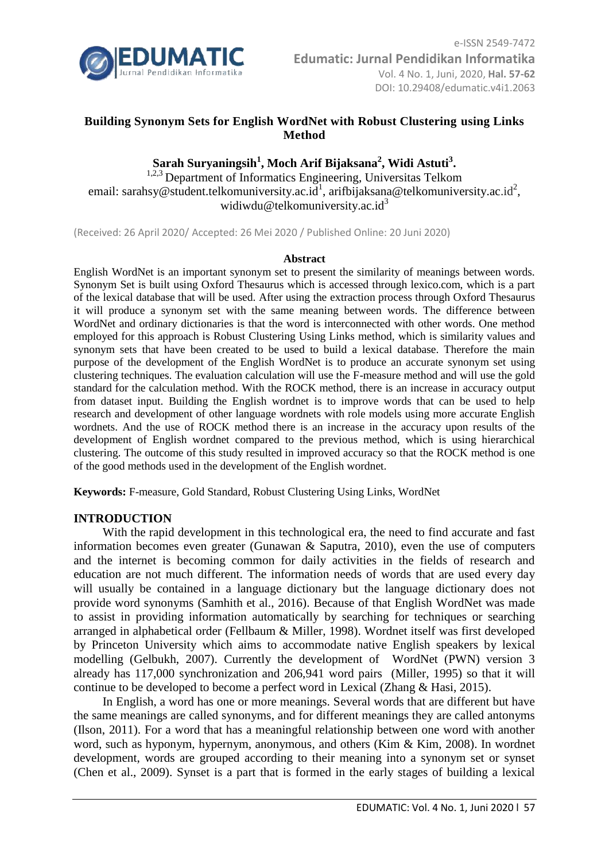

# **Building Synonym Sets for English WordNet with Robust Clustering using Links Method**

# **Sarah Suryaningsih<sup>1</sup> , Moch Arif Bijaksana<sup>2</sup> , Widi Astuti<sup>3</sup> .**

<sup>1,2,3</sup> Department of Informatics Engineering, Universitas Telkom email: sarahsy@student.telkomuniversity.ac.id<sup>1</sup>, arifbijaksana@telkomuniversity.ac.id<sup>2</sup>, widiwdu@telkomuniversity.ac.id<sup>3</sup>

(Received: 26 April 2020/ Accepted: 26 Mei 2020 / Published Online: 20 Juni 2020)

#### **Abstract**

English WordNet is an important synonym set to present the similarity of meanings between words. Synonym Set is built using Oxford Thesaurus which is accessed through lexico.com, which is a part of the lexical database that will be used. After using the extraction process through Oxford Thesaurus it will produce a synonym set with the same meaning between words. The difference between WordNet and ordinary dictionaries is that the word is interconnected with other words. One method employed for this approach is Robust Clustering Using Links method, which is similarity values and synonym sets that have been created to be used to build a lexical database. Therefore the main purpose of the development of the English WordNet is to produce an accurate synonym set using clustering techniques. The evaluation calculation will use the F-measure method and will use the gold standard for the calculation method. With the ROCK method, there is an increase in accuracy output from dataset input. Building the English wordnet is to improve words that can be used to help research and development of other language wordnets with role models using more accurate English wordnets. And the use of ROCK method there is an increase in the accuracy upon results of the development of English wordnet compared to the previous method, which is using hierarchical clustering. The outcome of this study resulted in improved accuracy so that the ROCK method is one of the good methods used in the development of the English wordnet.

**Keywords:** F-measure, Gold Standard, Robust Clustering Using Links, WordNet

## **INTRODUCTION**

With the rapid development in this technological era, the need to find accurate and fast information becomes even greater (Gunawan & Saputra, 2010), even the use of computers and the internet is becoming common for daily activities in the fields of research and education are not much different. The information needs of words that are used every day will usually be contained in a language dictionary but the language dictionary does not provide word synonyms (Samhith et al., 2016). Because of that English WordNet was made to assist in providing information automatically by searching for techniques or searching arranged in alphabetical order (Fellbaum & Miller, 1998). Wordnet itself was first developed by Princeton University which aims to accommodate native English speakers by lexical modelling (Gelbukh, 2007). Currently the development of WordNet (PWN) version 3 already has 117,000 synchronization and 206,941 word pairs (Miller, 1995) so that it will continue to be developed to become a perfect word in Lexical (Zhang & Hasi, 2015).

In English, a word has one or more meanings. Several words that are different but have the same meanings are called synonyms, and for different meanings they are called antonyms (Ilson, 2011). For a word that has a meaningful relationship between one word with another word, such as hyponym, hypernym, anonymous, and others (Kim & Kim, 2008). In wordnet development, words are grouped according to their meaning into a synonym set or synset (Chen et al., 2009). Synset is a part that is formed in the early stages of building a lexical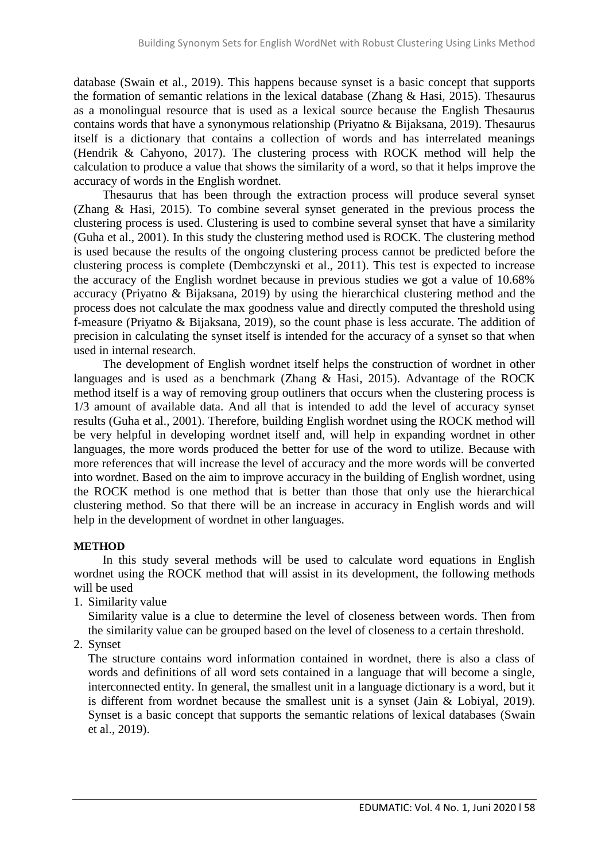database (Swain et al., 2019). This happens because synset is a basic concept that supports the formation of semantic relations in the lexical database (Zhang & Hasi, 2015). Thesaurus as a monolingual resource that is used as a lexical source because the English Thesaurus contains words that have a synonymous relationship (Priyatno & Bijaksana, 2019). Thesaurus itself is a dictionary that contains a collection of words and has interrelated meanings (Hendrik & Cahyono, 2017). The clustering process with ROCK method will help the calculation to produce a value that shows the similarity of a word, so that it helps improve the accuracy of words in the English wordnet.

Thesaurus that has been through the extraction process will produce several synset (Zhang & Hasi, 2015). To combine several synset generated in the previous process the clustering process is used. Clustering is used to combine several synset that have a similarity (Guha et al., 2001). In this study the clustering method used is ROCK. The clustering method is used because the results of the ongoing clustering process cannot be predicted before the clustering process is complete (Dembczynski et al., 2011). This test is expected to increase the accuracy of the English wordnet because in previous studies we got a value of 10.68% accuracy (Priyatno & Bijaksana, 2019) by using the hierarchical clustering method and the process does not calculate the max goodness value and directly computed the threshold using f-measure (Priyatno & Bijaksana, 2019), so the count phase is less accurate. The addition of precision in calculating the synset itself is intended for the accuracy of a synset so that when used in internal research.

The development of English wordnet itself helps the construction of wordnet in other languages and is used as a benchmark (Zhang & Hasi, 2015). Advantage of the ROCK method itself is a way of removing group outliners that occurs when the clustering process is 1/3 amount of available data. And all that is intended to add the level of accuracy synset results (Guha et al., 2001). Therefore, building English wordnet using the ROCK method will be very helpful in developing wordnet itself and, will help in expanding wordnet in other languages, the more words produced the better for use of the word to utilize. Because with more references that will increase the level of accuracy and the more words will be converted into wordnet. Based on the aim to improve accuracy in the building of English wordnet, using the ROCK method is one method that is better than those that only use the hierarchical clustering method. So that there will be an increase in accuracy in English words and will help in the development of wordnet in other languages.

## **METHOD**

In this study several methods will be used to calculate word equations in English wordnet using the ROCK method that will assist in its development, the following methods will be used

1. Similarity value

Similarity value is a clue to determine the level of closeness between words. Then from the similarity value can be grouped based on the level of closeness to a certain threshold.

2. Synset

The structure contains word information contained in wordnet, there is also a class of words and definitions of all word sets contained in a language that will become a single, interconnected entity. In general, the smallest unit in a language dictionary is a word, but it is different from wordnet because the smallest unit is a synset (Jain & Lobiyal, 2019). Synset is a basic concept that supports the semantic relations of lexical databases (Swain et al., 2019).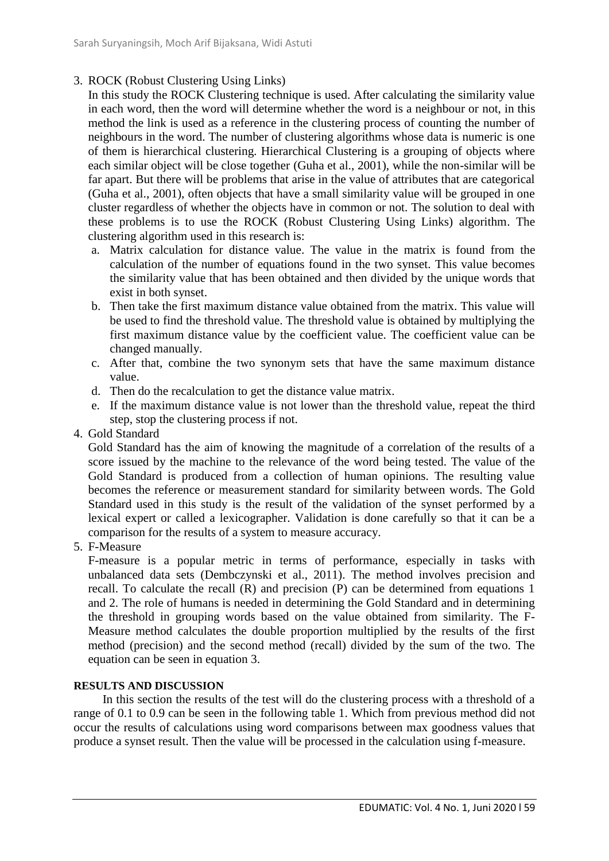- 3. ROCK (Robust Clustering Using Links)
	- In this study the ROCK Clustering technique is used. After calculating the similarity value in each word, then the word will determine whether the word is a neighbour or not, in this method the link is used as a reference in the clustering process of counting the number of neighbours in the word. The number of clustering algorithms whose data is numeric is one of them is hierarchical clustering. Hierarchical Clustering is a grouping of objects where each similar object will be close together (Guha et al., 2001), while the non-similar will be far apart. But there will be problems that arise in the value of attributes that are categorical (Guha et al., 2001), often objects that have a small similarity value will be grouped in one cluster regardless of whether the objects have in common or not. The solution to deal with these problems is to use the ROCK (Robust Clustering Using Links) algorithm. The clustering algorithm used in this research is:
	- a. Matrix calculation for distance value. The value in the matrix is found from the calculation of the number of equations found in the two synset. This value becomes the similarity value that has been obtained and then divided by the unique words that exist in both synset.
	- b. Then take the first maximum distance value obtained from the matrix. This value will be used to find the threshold value. The threshold value is obtained by multiplying the first maximum distance value by the coefficient value. The coefficient value can be changed manually.
	- c. After that, combine the two synonym sets that have the same maximum distance value.
	- d. Then do the recalculation to get the distance value matrix.
	- e. If the maximum distance value is not lower than the threshold value, repeat the third step, stop the clustering process if not.
- 4. Gold Standard

Gold Standard has the aim of knowing the magnitude of a correlation of the results of a score issued by the machine to the relevance of the word being tested. The value of the Gold Standard is produced from a collection of human opinions. The resulting value becomes the reference or measurement standard for similarity between words. The Gold Standard used in this study is the result of the validation of the synset performed by a lexical expert or called a lexicographer. Validation is done carefully so that it can be a comparison for the results of a system to measure accuracy.

5. F-Measure

F-measure is a popular metric in terms of performance, especially in tasks with unbalanced data sets (Dembczynski et al., 2011). The method involves precision and recall. To calculate the recall (R) and precision (P) can be determined from equations 1 and 2. The role of humans is needed in determining the Gold Standard and in determining the threshold in grouping words based on the value obtained from similarity. The F-Measure method calculates the double proportion multiplied by the results of the first method (precision) and the second method (recall) divided by the sum of the two. The equation can be seen in equation 3.

## **RESULTS AND DISCUSSION**

In this section the results of the test will do the clustering process with a threshold of a range of 0.1 to 0.9 can be seen in the following table 1. Which from previous method did not occur the results of calculations using word comparisons between max goodness values that produce a synset result. Then the value will be processed in the calculation using f-measure.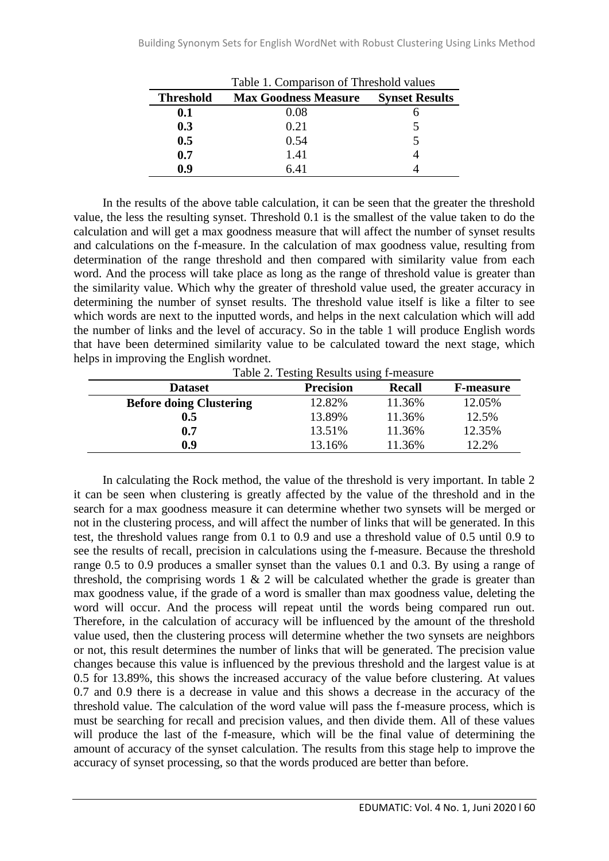| Table 1. Comparison of Threshold values |                             |                       |
|-----------------------------------------|-----------------------------|-----------------------|
| <b>Threshold</b>                        | <b>Max Goodness Measure</b> | <b>Synset Results</b> |
| 0.1                                     | 0.08                        |                       |
| 0.3                                     | 0.21                        |                       |
| 0.5                                     | 0.54                        |                       |
| 0.7                                     | 1.41                        |                       |
| 0.9                                     | 6.41                        |                       |

In the results of the above table calculation, it can be seen that the greater the threshold value, the less the resulting synset. Threshold 0.1 is the smallest of the value taken to do the calculation and will get a max goodness measure that will affect the number of synset results and calculations on the f-measure. In the calculation of max goodness value, resulting from determination of the range threshold and then compared with similarity value from each word. And the process will take place as long as the range of threshold value is greater than the similarity value. Which why the greater of threshold value used, the greater accuracy in determining the number of synset results. The threshold value itself is like a filter to see which words are next to the inputted words, and helps in the next calculation which will add the number of links and the level of accuracy. So in the table 1 will produce English words that have been determined similarity value to be calculated toward the next stage, which helps in improving the English wordnet.

Table 2. Testing Results using f-measure

| <b>Dataset</b>                 | <b>Precision</b> | <b>Recall</b> | <b>F-measure</b> |
|--------------------------------|------------------|---------------|------------------|
| <b>Before doing Clustering</b> | 12.82%           | 11.36%        | 12.05%           |
| $0.5\,$                        | 13.89%           | 11.36%        | 12.5%            |
| 0.7                            | 13.51%           | 11.36%        | 12.35%           |
| 0.9                            | 13.16%           | 11.36%        | 12.2%            |

In calculating the Rock method, the value of the threshold is very important. In table 2 it can be seen when clustering is greatly affected by the value of the threshold and in the search for a max goodness measure it can determine whether two synsets will be merged or not in the clustering process, and will affect the number of links that will be generated. In this test, the threshold values range from 0.1 to 0.9 and use a threshold value of 0.5 until 0.9 to see the results of recall, precision in calculations using the f-measure. Because the threshold range 0.5 to 0.9 produces a smaller synset than the values 0.1 and 0.3. By using a range of threshold, the comprising words  $1 \& 2$  will be calculated whether the grade is greater than max goodness value, if the grade of a word is smaller than max goodness value, deleting the word will occur. And the process will repeat until the words being compared run out. Therefore, in the calculation of accuracy will be influenced by the amount of the threshold value used, then the clustering process will determine whether the two synsets are neighbors or not, this result determines the number of links that will be generated. The precision value changes because this value is influenced by the previous threshold and the largest value is at 0.5 for 13.89%, this shows the increased accuracy of the value before clustering. At values 0.7 and 0.9 there is a decrease in value and this shows a decrease in the accuracy of the threshold value. The calculation of the word value will pass the f-measure process, which is must be searching for recall and precision values, and then divide them. All of these values will produce the last of the f-measure, which will be the final value of determining the amount of accuracy of the synset calculation. The results from this stage help to improve the accuracy of synset processing, so that the words produced are better than before.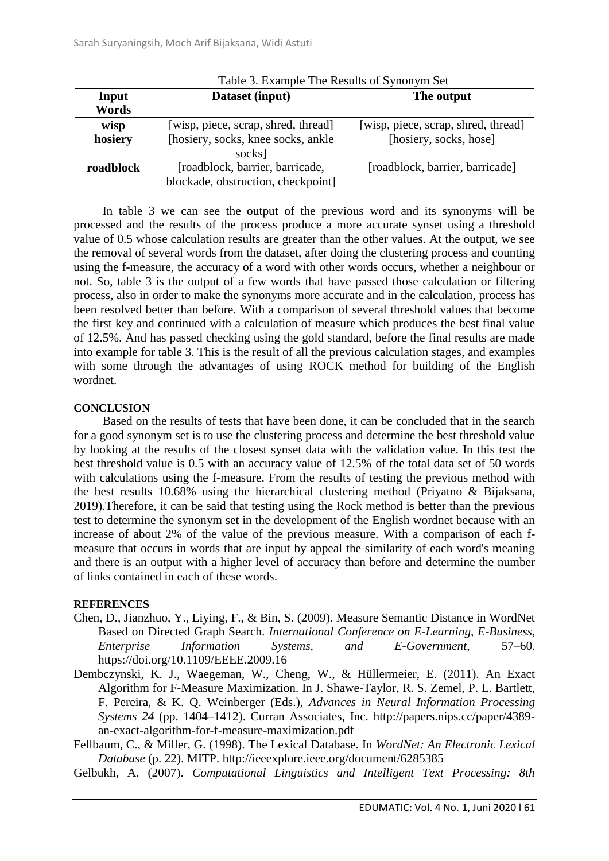|           | Table 3. Example The Results of Synonym Set |                                     |  |
|-----------|---------------------------------------------|-------------------------------------|--|
| Input     | Dataset (input)                             | The output                          |  |
| Words     |                                             |                                     |  |
| wisp      | [wisp, piece, scrap, shred, thread]         | [wisp, piece, scrap, shred, thread] |  |
| hosiery   | [hosiery, socks, knee socks, ankle          | [hosiery, socks, hose]              |  |
|           | socks]                                      |                                     |  |
| roadblock | [roadblock, barrier, barricade,             | [roadblock, barrier, barricade]     |  |
|           | blockade, obstruction, checkpoint]          |                                     |  |

In table 3 we can see the output of the previous word and its synonyms will be processed and the results of the process produce a more accurate synset using a threshold value of 0.5 whose calculation results are greater than the other values. At the output, we see the removal of several words from the dataset, after doing the clustering process and counting using the f-measure, the accuracy of a word with other words occurs, whether a neighbour or not. So, table 3 is the output of a few words that have passed those calculation or filtering process, also in order to make the synonyms more accurate and in the calculation, process has been resolved better than before. With a comparison of several threshold values that become the first key and continued with a calculation of measure which produces the best final value of 12.5%. And has passed checking using the gold standard, before the final results are made into example for table 3. This is the result of all the previous calculation stages, and examples with some through the advantages of using ROCK method for building of the English wordnet.

#### **CONCLUSION**

Based on the results of tests that have been done, it can be concluded that in the search for a good synonym set is to use the clustering process and determine the best threshold value by looking at the results of the closest synset data with the validation value. In this test the best threshold value is 0.5 with an accuracy value of 12.5% of the total data set of 50 words with calculations using the f-measure. From the results of testing the previous method with the best results 10.68% using the hierarchical clustering method (Priyatno & Bijaksana, 2019).Therefore, it can be said that testing using the Rock method is better than the previous test to determine the synonym set in the development of the English wordnet because with an increase of about 2% of the value of the previous measure. With a comparison of each fmeasure that occurs in words that are input by appeal the similarity of each word's meaning and there is an output with a higher level of accuracy than before and determine the number of links contained in each of these words.

## **REFERENCES**

- Chen, D., Jianzhuo, Y., Liying, F., & Bin, S. (2009). Measure Semantic Distance in WordNet Based on Directed Graph Search. *International Conference on E-Learning, E-Business, Enterprise Information Systems, and E-Government*, 57–60. https://doi.org/10.1109/EEEE.2009.16
- Dembczynski, K. J., Waegeman, W., Cheng, W., & Hüllermeier, E. (2011). An Exact Algorithm for F-Measure Maximization. In J. Shawe-Taylor, R. S. Zemel, P. L. Bartlett, F. Pereira, & K. Q. Weinberger (Eds.), *Advances in Neural Information Processing Systems 24* (pp. 1404–1412). Curran Associates, Inc. http://papers.nips.cc/paper/4389 an-exact-algorithm-for-f-measure-maximization.pdf

Fellbaum, C., & Miller, G. (1998). The Lexical Database. In *WordNet: An Electronic Lexical Database* (p. 22). MITP. http://ieeexplore.ieee.org/document/6285385

Gelbukh, A. (2007). *Computational Linguistics and Intelligent Text Processing: 8th*